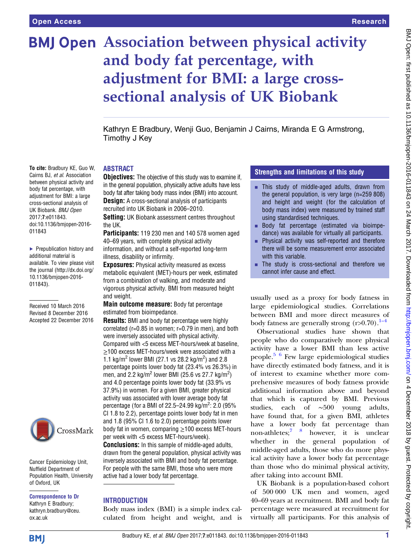# **BMJ Open** Association between physical activity and body fat percentage, with adjustment for BMI: a large crosssectional analysis of UK Biobank

Kathryn E Bradbury, Wenji Guo, Benjamin J Cairns, Miranda E G Armstrong, Timothy J Key

#### ABSTRACT

To cite: Bradbury KE, Guo W, Cairns BJ, et al. Association between physical activity and body fat percentage, with adjustment for BMI: a large cross-sectional analysis of UK Biobank. BMJ Open 2017;7:e011843. doi:10.1136/bmjopen-2016- 011843

▶ Prepublication history and additional material is available. To view please visit the journal [\(http://dx.doi.org/](http://dx.doi.org/10.1136/bmjopen-2016-011843) [10.1136/bmjopen-2016-](http://dx.doi.org/10.1136/bmjopen-2016-011843) [011843\)](http://dx.doi.org/10.1136/bmjopen-2016-011843).

Received 10 March 2016 Revised 8 December 2016 Accepted 22 December 2016



Cancer Epidemiology Unit, Nuffield Department of Population Health, University of Oxford, UK

Correspondence to Dr Kathryn E Bradbury; kathryn.bradbury@ceu. ox.ac.uk

**Objectives:** The objective of this study was to examine if, in the general population, physically active adults have less body fat after taking body mass index (BMI) into account. **Design:** A cross-sectional analysis of participants recruited into UK Biobank in 2006–2010.

**Setting:** UK Biobank assessment centres throughout the UK.

Participants: 119 230 men and 140 578 women aged 40–69 years, with complete physical activity information, and without a self-reported long-term illness, disability or infirmity.

**Exposures:** Physical activity measured as excess metabolic equivalent (MET)-hours per week, estimated from a combination of walking, and moderate and vigorous physical activity. BMI from measured height and weight.

#### Main outcome measure: Body fat percentage estimated from bioimpedance.

Results: BMI and body fat percentage were highly correlated (r=0.85 in women; r=0.79 in men), and both were inversely associated with physical activity. Compared with <5 excess MET-hours/week at baseline, ≥100 excess MET-hours/week were associated with a 1.1 kg/m<sup>2</sup> lower BMI (27.1 vs 28.2 kg/m<sup>2</sup>) and 2.8 percentage points lower body fat (23.4% vs 26.3%) in men, and 2.2 kg/m<sup>2</sup> lower BMI (25.6 vs 27.7 kg/m<sup>2</sup>) and 4.0 percentage points lower body fat (33.9% vs 37.9%) in women. For a given BMI, greater physical activity was associated with lower average body fat percentage (for a BMI of 22.5-24.99 kg/m<sup>2</sup>: 2.0 (95% CI 1.8 to 2.2), percentage points lower body fat in men and 1.8 (95% CI 1.6 to 2.0) percentage points lower body fat in women, comparing ≥100 excess MET-hours per week with <5 excess MET-hours/week).

**Conclusions:** In this sample of middle-aged adults, drawn from the general population, physical activity was inversely associated with BMI and body fat percentage. For people with the same BMI, those who were more active had a lower body fat percentage.

# INTRODUCTION

Body mass index (BMI) is a simple index calculated from height and weight, and is

# Strengths and limitations of this study

- **EXECUTE:** This study of middle-aged adults, drawn from the general population, is very large (n=259 808) and height and weight (for the calculation of body mass index) were measured by trained staff using standardised techniques.
- Body fat percentage (estimated via bioimpedance) was available for virtually all participants.
- Physical activity was self-reported and therefore there will be some measurement error associated with this variable.
- The study is cross-sectional and therefore we cannot infer cause and effect.

usually used as a proxy for body fatness in large epidemiological studies. Correlations between BMI and more direct measure[s o](#page-8-0)f body fatness are generally strong  $(r>0.70)$ .<sup>1–4</sup>

Observational studies have shown that people who do comparatively more physical activity have a lower BMI than less active people.[5 6](#page-8-0) Few large epidemiological studies have directly estimated body fatness, and it is of interest to examine whether more comprehensive measures of body fatness provide additional information above and beyond that which is captured by BMI. Previous studies, each of ∼500 young adults, have found that, for a given BMI, athletes have a lower body fat percentage than non-athletes;<sup>7</sup> <sup>8</sup> however, it is unclear whether in the general population of middle-aged adults, those who do more physical activity have a lower body fat percentage than those who do minimal physical activity, after taking into account BMI.

UK Biobank is a population-based cohort of 500 000 UK men and women, aged 40–69 years at recruitment. BMI and body fat percentage were measured at recruitment for virtually all participants. For this analysis of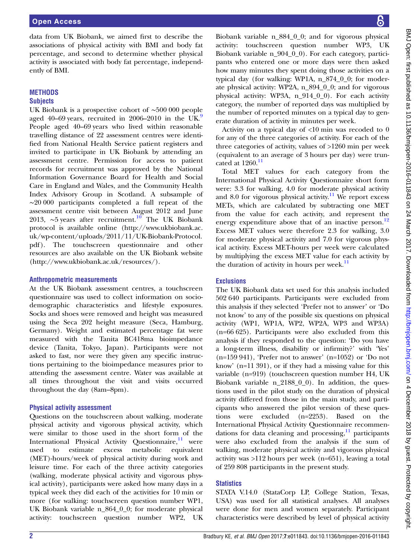data from UK Biobank, we aimed first to describe the associations of physical activity with BMI and body fat percentage, and second to determine whether physical activity is associated with body fat percentage, independently of BMI.

#### **METHODS Subjects**

UK Biobank is a prospective cohort of ∼500 000 people aged 40–6[9](#page-8-0) years, recruited in 2006–2010 in the UK. $9$ People aged 40–69 years who lived within reasonable travelling distance of 22 assessment centres were identified from National Health Service patient registers and invited to participate in UK Biobank by attending an assessment centre. Permission for access to patient records for recruitment was approved by the National Information Governance Board for Health and Social Care in England and Wales, and the Community Health Index Advisory Group in Scotland. A subsample of ∼20 000 participants completed a full repeat of the assessment centre visit between August 2012 and June 2013, ∼5 years after recruitment.<sup>[10](#page-8-0)</sup> The UK Biobank protocol is available online ([http://www.ukbiobank.ac.](http://www.ukbiobank.ac.uk/wp-content/uploads/2011/11/UK-Biobank-Protocol.pdf) [uk/wp-content/uploads/2011/11/UK-Biobank-Protocol.](http://www.ukbiobank.ac.uk/wp-content/uploads/2011/11/UK-Biobank-Protocol.pdf) [pdf](http://www.ukbiobank.ac.uk/wp-content/uploads/2011/11/UK-Biobank-Protocol.pdf)). The touchscreen questionnaire and other resources are also available on the UK Biobank website [\(http://www.ukbiobank.ac.uk/resources/\)](http://www.ukbiobank.ac.uk/resources/).

### Anthropometric measurements

At the UK Biobank assessment centres, a touchscreen questionnaire was used to collect information on sociodemographic characteristics and lifestyle exposures. Socks and shoes were removed and height was measured using the Seca 202 height measure (Seca, Hamburg, Germany). Weight and estimated percentage fat were measured with the Tanita BC418ma bioimpedance device (Tanita, Tokyo, Japan). Participants were not asked to fast, nor were they given any specific instructions pertaining to the bioimpedance measures prior to attending the assessment centre. Water was available at all times throughout the visit and visits occurred throughout the day (8am–8pm).

#### Physical activity assessment

Questions on the touchscreen about walking, moderate physical activity and vigorous physical activity, which were similar to those used in the short form of the International Physical Activity Questionnaire, Il were used to estimate excess metabolic equivalent (MET)-hours/week of physical activity during work and leisure time. For each of the three activity categories (walking, moderate physical activity and vigorous physical activity), participants were asked how many days in a typical week they did each of the activities for 10 min or more (for walking: touchscreen question number WP1, UK Biobank variable n\_864\_0\_0; for moderate physical activity: touchscreen question number WP2, UK

Biobank variable n\_884\_0\_0; and for vigorous physical activity: touchscreen question number WP3, UK Biobank variable n\_904\_0\_0). For each category, participants who entered one or more days were then asked how many minutes they spent doing those activities on a typical day (for walking: WP1A, n\_874\_0\_0; for moderate physical activity: WP2A, n\_894\_0\_0; and for vigorous physical activity: WP3A, n\_914\_0\_0). For each activity category, the number of reported days was multiplied by the number of reported minutes on a typical day to generate duration of activity in minutes per week.

Activity on a typical day of <10 min was recoded to 0 for any of the three categories of activity. For each of the three categories of activity, values of >1260 min per week (equivalent to an average of 3 hours per day) were truncated at  $1260$ .<sup>[11](#page-8-0)</sup>

Total MET values for each category from the International Physical Activity Questionnaire short form were: 3.3 for walking, 4.0 for moderate physical activity and 8.0 for vigorous physical activity.<sup>[11](#page-8-0)</sup> We report excess METs, which are calculated by subtracting one MET from the value for each activity, and represent the energy expenditure above that of an inactive person.<sup>[12](#page-8-0)</sup> Excess MET values were therefore 2.3 for walking, 3.0 for moderate physical activity and 7.0 for vigorous physical activity. Excess MET-hours per week were calculated by multiplying the excess MET value for each activity by the duration of activity in hours per week. $\frac{11}{11}$  $\frac{11}{11}$  $\frac{11}{11}$ 

# **Exclusions**

The UK Biobank data set used for this analysis included 502 640 participants. Participants were excluded from this analysis if they selected 'Prefer not to answer' or 'Do not know' to any of the possible six questions on physical activity (WP1, WP1A, WP2, WP2A, WP3 and WP3A) (n=66 625). Participants were also excluded from this analysis if they responded to the question: 'Do you have a long-term illness, disability or infirmity?' with 'Yes' (n=159 941), 'Prefer not to answer' (n=1052) or 'Do not know' (n=11 391), or if they had a missing value for this variable (n=919) (touchscreen question number H4, UK Biobank variable n\_2188\_0\_0). In addition, the questions used in the pilot study on the duration of physical activity differed from those in the main study, and participants who answered the pilot version of these questions were excluded (n=2253). Based on the International Physical Activity Questionnaire recommendations for data cleaning and processing, $\frac{11}{11}$  $\frac{11}{11}$  $\frac{11}{11}$  participants were also excluded from the analysis if the sum of walking, moderate physical activity and vigorous physical activity was >112 hours per week (n=651), leaving a total of 259 808 participants in the present study.

# **Statistics**

STATA V.14.0 (StataCorp LP, College Station, Texas, USA) was used for all statistical analyses. All analyses were done for men and women separately. Participant characteristics were described by level of physical activity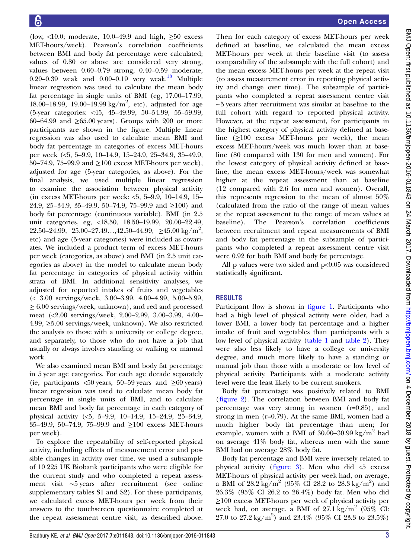(low,  $\langle 10.0; \text{ moderate}, 10.0-49.9 \text{ and high}, \rangle$  = 50 excess MET-hours/week). Pearson's correlation coefficients between BMI and body fat percentage were calculated; values of 0.80 or above are considered very strong, values between 0.60–0.79 strong, 0.40–0.59 moderate, 0.20–0.39 weak and  $0.00-0.19$  very weak.<sup>[13](#page-8-0)</sup> Multiple linear regression was used to calculate the mean body fat percentage in single units of BMI (eg, 17.00–17.99, 18.00-18.99, 19.00-19.99 kg/m<sup>2</sup>, etc), adjusted for age (5-year categories: <45, 45–49.99, 50–54.99, 55–59.99, 60–64.99 and  $\geq$ 65.00 years). Groups with 200 or more participants are shown in the figure. Multiple linear regression was also used to calculate mean BMI and body fat percentage in categories of excess MET-hours per week (<5, 5–9.9, 10–14.9, 15–24.9, 25–34.9, 35–49.9, 50–74.9, 75–99.9 and ≥100 excess MET-hours per week), adjusted for age (5-year categories, as above). For the final analysis, we used multiple linear regression to examine the association between physical activity (in excess MET-hours per week: <5, 5–9.9, 10–14.9, 15– 24.9, 25–34.9, 35–49.9, 50–74.9, 75–99.9 and  $\geq$ 100) and body fat percentage (continuous variable). BMI (in 2.5 unit categories, eg, <18.50, 18.50–19.99, 20.00–22.49, 22.50–24.99, 25.00–27.49...,42.50–44.99,  $\geq$ 45.00 kg/m<sup>2</sup>, etc) and age (5-year categories) were included as covariates. We included a product term of excess MET-hours per week (categories, as above) and BMI (in 2.5 unit categories as above) in the model to calculate mean body fat percentage in categories of physical activity within strata of BMI. In additional sensitivity analyses, we adjusted for reported intakes of fruits and vegetables (< 3.00 servings/week, 3.00–3.99, 4.00–4.99, 5.00–5.99, ≥ 6.00 servings/week, unknown), and red and processed meat (<2.00 servings/week, 2.00–2.99, 3.00–3.99, 4.00– 4.99, ≥5.00 servings/week, unknown). We also restricted the analysis to those with a university or college degree, and separately, to those who do not have a job that usually or always involves standing or walking or manual work.

We also examined mean BMI and body fat percentage in 5 year age categories. For each age decade separately (ie, participants <50 years, 50–59 years and  $\geq 60$  years) linear regression was used to calculate mean body fat percentage in single units of BMI, and to calculate mean BMI and body fat percentage in each category of physical activity (<5, 5–9.9, 10–14.9, 15–24.9, 25–34.9, 35–49.9, 50–74.9, 75–99.9 and ≥100 excess MET-hours per week).

To explore the repeatability of self-reported physical activity, including effects of measurement error and possible changes in activity over time, we used a subsample of 10 225 UK Biobank participants who were eligible for the current study and who completed a repeat assessment visit ∼5 years after recruitment (see online [supplementary tables S1 and S2\)](http://dx.doi.org/10.1136/bmjopen-2016-011843). For these participants, we calculated excess MET-hours per week from their answers to the touchscreen questionnaire completed at the repeat assessment centre visit, as described above.

Then for each category of excess MET-hours per week defined at baseline, we calculated the mean excess MET-hours per week at their baseline visit (to assess comparability of the subsample with the full cohort) and the mean excess MET-hours per week at the repeat visit (to assess measurement error in reporting physical activity and change over time). The subsample of participants who completed a repeat assessment centre visit ∼5 years after recruitment was similar at baseline to the full cohort with regard to reported physical activity. However, at the repeat assessment, for participants in the highest category of physical activity defined at baseline  $(\geq 100$  excess MET-hours per week), the mean excess MET-hours/week was much lower than at baseline (80 compared with 130 for men and women). For the lowest category of physical activity defined at baseline, the mean excess MET-hours/week was somewhat higher at the repeat assessment than at baseline (12 compared with 2.6 for men and women). Overall, this represents regression to the mean of almost 50% (calculated from the ratio of the range of mean values at the repeat assessment to the range of mean values at baseline). The Pearson's correlation coefficients between recruitment and repeat measurements of BMI and body fat percentage in the subsample of participants who completed a repeat assessment centre visit were 0.92 for both BMI and body fat percentage.

All p values were two sided and  $p<0.05$  was considered statistically significant.

# RESULTS

Participant flow is shown in fi[gure 1.](#page-3-0) Participants who had a high level of physical activity were older, had a lower BMI, a lower body fat percentage and a higher intake of fruit and vegetables than participants with a low level of physical activity [\(table 1](#page-4-0) and [table 2](#page-5-0)). They were also less likely to have a college or university degree, and much more likely to have a standing or manual job than those with a moderate or low level of physical activity. Participants with a moderate activity level were the least likely to be current smokers.

Body fat percentage was positively related to BMI (fi[gure 2](#page-6-0)). The correlation between BMI and body fat percentage was very strong in women (r=0.85), and strong in men (r=0.79). At the same BMI, women had a much higher body fat percentage than men; for example, women with a BMI of  $30.00-30.99 \text{ kg/m}^2$  had on average 41% body fat, whereas men with the same BMI had on average 28% body fat.

Body fat percentage and BMI were inversely related to physical activity (fi[gure 3](#page-6-0)). Men who did  $\leq$  excess MET-hours of physical activity per week had, on average, a BMI of  $28.2 \text{ kg/m}^2$  (95% CI 28.2 to  $28.3 \text{ kg/m}^2$ ) and 26.3% (95% CI 26.2 to 26.4%) body fat. Men who did ≥100 excess MET-hours per week of physical activity per week had, on average, a BMI of  $27.1 \text{ kg/m}^2$  (95% CI: 27.0 to 27.2 kg/m<sup>2</sup>) and 23.4% (95% CI 23.3 to 23.5%)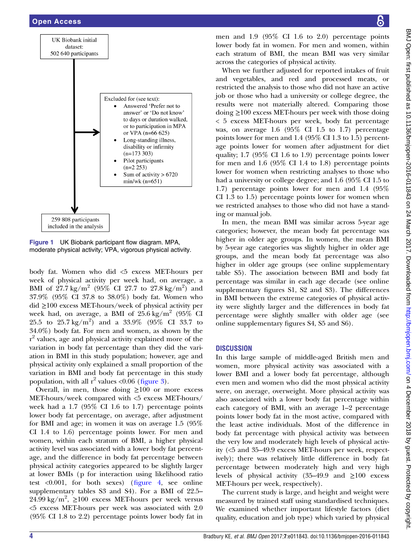<span id="page-3-0"></span>

Figure 1 UK Biobank participant flow diagram. MPA, moderate physical activity; VPA, vigorous physical activity.

body fat. Women who did <5 excess MET-hours per week of physical activity per week had, on average, a BMI of  $27.7 \text{ kg/m}^2$  (95% CI 27.7 to 27.8 kg/m<sup>2</sup>) and 37.9% (95% CI 37.8 to 38.0%) body fat. Women who did ≥100 excess MET-hours/week of physical activity per week had, on average, a BMI of  $25.6 \text{ kg/m}^2$  (95% CI 25.5 to 25.7 kg/m<sup>2</sup>) and a 33.9% (95% CI 33.7 to 34.0%) body fat. For men and women, as shown by the r <sup>2</sup> values, age and physical activity explained more of the variation in body fat percentage than they did the variation in BMI in this study population; however, age and physical activity only explained a small proportion of the variation in BMI and body fat percentage in this study population, with all  $r^2$  values <0.06 (fi[gure 3](#page-6-0)).

Overall, in men, those doing  $\geq 100$  or more excess MET-hours/week compared with <5 excess MET-hours/ week had a 1.7 (95% CI 1.6 to 1.7) percentage points lower body fat percentage, on average, after adjustment for BMI and age; in women it was on average 1.5 (95% CI 1.4 to 1.6) percentage points lower. For men and women, within each stratum of BMI, a higher physical activity level was associated with a lower body fat percentage, and the difference in body fat percentage between physical activity categories appeared to be slightly larger at lower BMIs (p for interaction using likelihood ratio test <0.001, for both sexes) (fi[gure 4,](#page-7-0) see online [supplementary tables S3 and S4](http://dx.doi.org/10.1136/bmjopen-2016-011843)). For a BMI of 22.5–  $24.99 \text{ kg/m}^2$ ,  $\geq 100 \text{ excess MET-hours per week versus}$ <5 excess MET-hours per week was associated with 2.0 (95% CI 1.8 to 2.2) percentage points lower body fat in

men and 1.9 (95% CI 1.6 to 2.0) percentage points lower body fat in women. For men and women, within each stratum of BMI, the mean BMI was very similar across the categories of physical activity.

When we further adjusted for reported intakes of fruit and vegetables, and red and processed meats, or restricted the analysis to those who did not have an active job or those who had a university or college degree, the results were not materially altered. Comparing those  $\text{doing } \geq 100 \text{ excess MET-hours per week with those doing}$ < 5 excess MET-hours per week, body fat percentage was, on average 1.6 (95% CI 1.5 to 1.7) percentage points lower for men and 1.4 (95% CI 1.3 to 1.5) percentage points lower for women after adjustment for diet quality; 1.7 (95% CI 1.6 to 1.9) percentage points lower for men and 1.6 (95% CI 1.4 to 1.8) percentage points lower for women when restricting analyses to those who had a university or college degree; and 1.6 (95% CI 1.5 to 1.7) percentage points lower for men and 1.4 (95% CI 1.3 to 1.5) percentage points lower for women when we restricted analyses to those who did not have a standing or manual job.

In men, the mean BMI was similar across 5-year age categories; however, the mean body fat percentage was higher in older age groups. In women, the mean BMI by 5-year age categories was slightly higher in older age groups, and the mean body fat percentage was also higher in older age groups (see online [supplementary](http://dx.doi.org/10.1136/bmjopen-2016-011843) [table S5](http://dx.doi.org/10.1136/bmjopen-2016-011843)). The association between BMI and body fat percentage was similar in each age decade (see online supplementary fi[gures S1, S2 and S3](http://dx.doi.org/10.1136/bmjopen-2016-011843)). The differences in BMI between the extreme categories of physical activity were slightly larger and the differences in body fat percentage were slightly smaller with older age (see online supplementary fi[gures S4, S5 and S6\)](http://dx.doi.org/10.1136/bmjopen-2016-011843).

#### **DISCUSSION**

In this large sample of middle-aged British men and women, more physical activity was associated with a lower BMI and a lower body fat percentage, although even men and women who did the most physical activity were, on average, overweight. More physical activity was also associated with a lower body fat percentage within each category of BMI, with an average 1–2 percentage points lower body fat in the most active, compared with the least active individuals. Most of the difference in body fat percentage with physical activity was between the very low and moderately high levels of physical activity (<5 and 35–49.9 excess MET-hours per week, respectively); there was relatively little difference in body fat percentage between moderately high and very high levels of physical activity (35–49.9 and  $\geq 100$  excess MET-hours per week, respectively).

The current study is large, and height and weight were measured by trained staff using standardised techniques. We examined whether important lifestyle factors (diet quality, education and job type) which varied by physical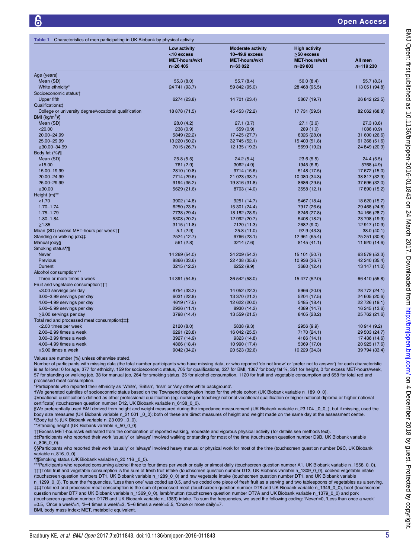<span id="page-4-0"></span>Table 1 Characteristics of men participating in UK Biobank by physical activity

|                                                       | Low activity<br><10 excess<br><b>MET-hours/wk1</b><br>$n=26405$ | <b>Moderate activity</b><br>10-49.9 excess<br><b>MET-hours/wk1</b><br>n=63 022 | <b>High activity</b><br>$\geq$ 50 excess<br><b>MET-hours/wk1</b><br>$n = 29803$ | All men<br>$n=119230$ |
|-------------------------------------------------------|-----------------------------------------------------------------|--------------------------------------------------------------------------------|---------------------------------------------------------------------------------|-----------------------|
|                                                       |                                                                 |                                                                                |                                                                                 |                       |
| Age (years)                                           |                                                                 |                                                                                |                                                                                 |                       |
| Mean (SD)                                             | 55.3(8.0)                                                       | 55.7 (8.4)                                                                     | 56.0(8.4)                                                                       | 55.7(8.3)             |
| White ethnicity*                                      | 24 741 (93.7)                                                   | 59 842 (95.0)                                                                  | 28 468 (95.5)                                                                   | 113 051 (94.8)        |
| Socioeconomic status†                                 |                                                                 |                                                                                |                                                                                 |                       |
| Upper fifth                                           | 6274 (23.8)                                                     | 14 701 (23.4)                                                                  | 5867 (19.7)                                                                     | 26 842 (22.5)         |
| Qualifications <sup>‡</sup>                           |                                                                 |                                                                                |                                                                                 |                       |
| College or university degree/vocational qualification | 18 878 (71.5)                                                   | 45 453 (72.2)                                                                  | 17 731 (59.5)                                                                   | 82 062 (68.8)         |
| BMI $(kq/m^2)$ §                                      |                                                                 |                                                                                |                                                                                 |                       |
| Mean (SD)                                             | 28.0(4.2)                                                       | 27.1 (3.7)                                                                     | 27.1(3.6)                                                                       | 27.3(3.8)             |
| < 20.00                                               | 238(0.9)                                                        | 559 (0.9)                                                                      | 289(1.0)                                                                        | 1086(0.9)             |
| 20.00-24.99                                           | 5849 (22.2)                                                     | 17 425 (27.7)                                                                  | 8326 (28.0)                                                                     | 31 600 (26.6)         |
| 25.00-29.99                                           | 13 220 (50.2)                                                   | 32 745 (52.1)                                                                  | 15 403 (51.8)                                                                   | 61 368 (51.6)         |
| $\geq$ 30.00-34.99                                    | 7015 (26.7)                                                     | 12 135 (19.3)                                                                  | 5699 (19.2)                                                                     | 24 849 (20.9)         |
| Body fat $(\%)$                                       |                                                                 |                                                                                |                                                                                 |                       |
| Mean (SD)                                             | 25.8(5.5)                                                       | 24.2(5.4)                                                                      | 23.6(5.5)                                                                       | 24.4(5.5)             |
| < 15.00                                               | 761 (2.9)                                                       | 3062(4.9)                                                                      | 1945 (6.6)                                                                      | 5768 (4.9)            |
| 15.00-19.99                                           | 2810 (10.8)                                                     | 9714 (15.6)                                                                    | 5148 (17.5)                                                                     | 17 672 (15.0)         |
| 20.00-24.99                                           | 7714 (29.6)                                                     | 21 023 (33.7)                                                                  | 10 080 (34.3)                                                                   | 38 817 (32.9)         |
| 25.00-29.99                                           | 9194 (35.2)                                                     | 19 816 (31.8)                                                                  | 8686 (29.5)                                                                     | 37 696 (32.0)         |
| $\geq 30.00$                                          | 5629 (21.6)                                                     | 8703 (14.0)                                                                    | 3558 (12.1)                                                                     | 17 890 (15.2)         |
| Height (m)**                                          |                                                                 |                                                                                |                                                                                 |                       |
| < 1.70                                                | 3902 (14.8)                                                     | 9251 (14.7)                                                                    | 5467 (18.4)                                                                     | 18 620 (15.7)         |
| $1.70 - 1.74$                                         | 6250 (23.8)                                                     | 15 301 (24.4)                                                                  | 7917 (26.6)                                                                     | 29 468 (24.8)         |
| $1.75 - 1.79$                                         | 7738 (29.4)                                                     | 18 182 (28.9)                                                                  | 8246 (27.8)                                                                     | 34 166 (28.7)         |
| $1.80 - 1.84$                                         | 5308 (20.2)                                                     | 12 992 (20.7)                                                                  | 5408 (18.2)                                                                     | 23 708 (19.9)         |
| $\geq 1.85$                                           | 3115(11.8)                                                      | 7120 (11.3)                                                                    | 2682 (9.0)                                                                      | 12 917 (10.9)         |
| Mean (SD) excess MET-hours per weektt                 | 5.1(2.9)                                                        | 25.8(11.0)                                                                     | 92.9(43.3)                                                                      | 38.0 (40.1)           |
| Standing or walking job‡‡                             | 2524 (12.7)                                                     | 9766 (23.1)                                                                    | 12 961 (65.4)                                                                   | 25 251 (30.8)         |
| Manual job§§                                          | 561(2.8)                                                        | 3214 (7.6)                                                                     | 8145 (41.1)                                                                     | 11 920 (14.6)         |
| Smoking status¶                                       |                                                                 |                                                                                |                                                                                 |                       |
| <b>Never</b>                                          | 14 269 (54.0)                                                   | 34 209 (54.3)                                                                  | 15 101 (50.7)                                                                   | 63 579 (53.3)         |
| Previous                                              | 8866 (33.6)                                                     | 22 438 (35.6)                                                                  | 10 936 (36.7)                                                                   | 42 240 (35.4)         |
| Current                                               | 3215 (12.2)                                                     | 6252 (9.9)                                                                     | 3680 (12.4)                                                                     | 13 147 (11.0)         |
| Alcohol consumption***                                |                                                                 |                                                                                |                                                                                 |                       |
| Three or more times a week                            | 14 391 (54.5)                                                   | 36 542 (58.0)                                                                  | 15 477 (52.0)                                                                   | 66 410 (55.8)         |
| Fruit and vegetable consumption†††                    |                                                                 |                                                                                |                                                                                 |                       |
| <3.00 servings per day                                | 8754 (33.2)                                                     | 14 052 (22.3)                                                                  | 5966 (20.0)                                                                     | 28 772 (24.1)         |
| 3.00-3.99 servings per day                            | 6031 (22.8)                                                     | 13 370 (21.2)                                                                  | 5204 (17.5)                                                                     | 24 605 (20.6)         |
| 4.00-4.99 servings per day                            | 4619 (17.5)                                                     | 12 622 (20.0)                                                                  | 5485 (18.4)                                                                     | 22 726 (19.1)         |
| 5.00-5.99 servings per day                            | 2926 (11.1)                                                     | 8930 (14.2)                                                                    | 4389 (14.7)                                                                     | 16 245 (13.6)         |
| $\geq$ 6.00 servings per day                          | 3798 (14.4)                                                     | 13 559 (21.5)                                                                  | 8405 (28.2)                                                                     | 25 762 (21.6)         |
| Total red and processed meat consumption###           |                                                                 |                                                                                |                                                                                 |                       |
| <2.00 times per week                                  | 2120(8.0)                                                       | 5838 (9.3)                                                                     | 2956 (9.9)                                                                      | 10 914 (9.2)          |
| 2.00-2.99 times a week                                | 6291 (23.8)                                                     | 16 042 (25.5)                                                                  | 7170 (24.1)                                                                     | 29 503 (24.7)         |
| 3.00-3.99 times a week                                | 3927 (14.9)                                                     | 9323 (14.8)                                                                    | 4186 (14.1)                                                                     | 17 436 (14.6)         |
| 4.00-4.99 times a week                                | 4866 (18.4)                                                     | 10 990 (17.4)                                                                  | 5069 (17.0)                                                                     | 20 925 (17.6)         |
| $\geq$ 5.00 times a week                              | 9042 (34.2)                                                     | 20 523 (32.6)                                                                  | 10 229 (34.3)                                                                   | 39 794 (33.4)         |

Values are number (%) unless otherwise stated.

Number of participants with missing data (the total number participants who have missing data, or who reported 'do not know' or 'prefer not to answer') for each characteristic is as follows: 0 for age, 377 for ethnicity, 159 for socioeconomic status, 705 for qualifications, 327 for BMI, 1367 for body fat %, 351 for height, 0 for excess MET-hours/week, 57 for standing or walking job, 38 for manual job, 264 for smoking status, 35 for alcohol consumption, 1120 for fruit and vegetable consumption and 658 for total red and processed meat consumption.

\*Participants who reported their ethnicity as 'White', 'British', 'Irish' or 'Any other white background'.

†We generated quintiles of socioeconmic status based on the Townsend deprivation index for the whole cohort (UK Biobank variable n\_189\_0\_0).

‡Vocational qualifications defined as other professional qualification (eg: nursing or teaching/ national vocational qualification or higher national diploma or higher national certificate) (touchscreen question number D12, UK Biobank variable n\_6138\_0\_0).

§We preferentially used BMI derived from height and weight measured during the impedance measurement (UK Biobank variable n\_23 104 \_0\_0\_), but if missing, used the body size measures (UK Biobank variable n\_21 001 \_0\_0); both of these are direct measures of height and weight made on the same day at the assessment centre. ¶Body fat % (UK Biobank variable n\_23 099 \_0\_0).

\*\*Standing height (UK Biobank variable n\_50\_0\_0).

††Excess MET-hours/wk estimated from the combination of reported walking, moderate and vigorous physical activity (for details see methods text).

‡‡Participants who reported their work 'usually' or 'always' involved walking or standing for most of the time (touchscreen question number D9B, UK Biobank variable  $n$  806 0 0).

§§Participants who reported their work 'usually' or 'always' involved heavy manual or physical work for most of the time (touchscreen question number D9C, UK Biobank variable n 816 0 0).

¶¶Smoking status (UK Biobank variable n\_20 116 \_0\_0).<br>\*\*\*Participants who reported consuming alcohol three to four times per week or daily or almost daily (touchscreen question number A1, UK Biobank variable n\_1558\_0\_0). †††Total fruit and vegetable consumption is the sum of fresh fruit intake (touchscreen question number DT3, UK Biobank variable n\_1309\_0\_0), cooked vegetable intake (touchscreen question numbers DT1, UK Biobank variable n\_1289\_0\_0) and raw vegetable intake (touchscreen question number DT1, and UK Biobank variable n\_1299\_0\_0). To sum the frequencies, 'Less than one' was coded as 0.5, and we coded one piece of fresh fruit as a serving and two tablespoons of vegetables as a serving. ‡‡‡Total red and processed meat consumption is the sum of processed meat (touchscreen question number DT8 and UK Biobank variable n\_1349\_0\_0), beef (touchscreen question number DT7 and UK Biobank variable n\_1369\_0\_0), lamb/mutton (touchscreen question number DT7A and UK Biobank variable n\_1379\_0\_0) and pork (touchscreen question number DT7B and UK Biobank variable n\_1389) intake. To sum the frequencies, we used the following coding: 'Never'=0, 'Less than once a week'  $=0.5$ , 'Once a week'=1, '2-4 times a week'=3, '5-6 times a week'=5.5, 'Once or more daily'=7. BMI, body mass index; MET, metabolic equivalent.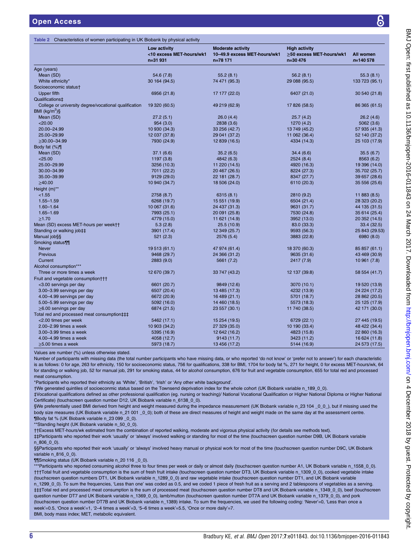# <span id="page-5-0"></span>Open Access

BMJ Open: first published as 10.1136/bmjopen-2016-011843 on 24 March 2017. Downloaded from http://bmjopen.bmj.com/ on 4 December 2018 by guest. Protected by copyright BMJ Open: first published as 10.1136/bmjopen-2016-011843 on 24 March 2017. Downloaded from <http://bmjopen.bmj.com/> on 4 December 2018 by guest. Protected by copyright.

|                                                       | Low activity<br><10 excess MET-hours/wk1<br>$n = 31931$ | <b>Moderate activity</b><br>10-49.9 excess MET-hours/wk1<br>n=78 171 | <b>High activity</b><br>>50 excess MET-hours/wk1<br>n=30 476 | All women<br>$n=140578$ |
|-------------------------------------------------------|---------------------------------------------------------|----------------------------------------------------------------------|--------------------------------------------------------------|-------------------------|
| Age (years)                                           |                                                         |                                                                      |                                                              |                         |
| Mean (SD)                                             | 54.6(7.8)                                               | 55.2(8.1)                                                            | 56.2(8.1)                                                    | 55.3(8.1)               |
| White ethnicity*                                      | 30 164 (94.5)                                           | 74 471 (95.3)                                                        | 29 088 (95.5)                                                | 133 723 (95.1)          |
| Socioeconomic status†                                 |                                                         |                                                                      |                                                              |                         |
| <b>Upper fifth</b>                                    | 6956 (21.8)                                             | 17 177 (22.0)                                                        | 6407 (21.0)                                                  | 30 540 (21.8)           |
| Qualifications‡                                       |                                                         |                                                                      |                                                              |                         |
| College or university degree/vocational qualification | 19 320 (60.5)                                           | 49 219 (62.9)                                                        | 17 826 (58.5)                                                | 86 365 (61.5)           |
| BMI $(kq/m^2)$ §                                      |                                                         |                                                                      |                                                              |                         |
| Mean (SD)                                             | 27.2(5.1)                                               | 26.0(4.4)                                                            | 25.7(4.2)                                                    | 26.2(4.6)               |
| < 20.00                                               | 954(3.0)                                                | 2838 (3.6)                                                           | 1270 (4.2)                                                   | 5062(3.6)               |
| 20.00-24.99                                           | 10 930 (34.3)                                           | 33 256 (42.7)                                                        | 13 749 (45.2)                                                | 57 935 (41.3)           |
| 25.00-29.99                                           | 12 037 (37.8)                                           | 29 041 (37.2)                                                        | 11 062 (36.4)                                                | 52 140 (37.2)           |
| $\geq$ 30.00-34.99                                    | 7930 (24.9)                                             | 12 839 (16.5)                                                        | 4334 (14.3)                                                  | 25 103 (17.9)           |
| Body fat (%)¶                                         |                                                         |                                                                      |                                                              |                         |
| Mean (SD)                                             | 37.1(6.6)                                               | 35.2(6.5)                                                            | 34.4(6.6)                                                    | 35.5(6.7)               |
| < 25.00                                               | 1197(3.8)                                               | 4842 (6.3)                                                           | 2524 (8.4)                                                   | 8563 (6.2)              |
| 25.00-29.99                                           | 3256 (10.3)                                             | 11 220 (14.5)                                                        | 4920 (16.3)                                                  | 19 396 (14.0)           |
| 30.00-34.99                                           | 7011 (22.2)                                             | 20 467 (26.5)                                                        | 8224 (27.3)                                                  | 35.702 (25.7)           |
| 35.00-39.99                                           | 9129 (29.0)                                             | 22 181 (28.7)                                                        | 8347 (27.7)                                                  | 39 657 (28.6)           |
| $\geq 40.00$                                          | 10 940 (34.7)                                           | 18 506 (24.0)                                                        | 6110 (20.3)                                                  | 35 556 (25.6)           |
| Height (m)**                                          |                                                         |                                                                      |                                                              |                         |
| < 1.55                                                | 2758 (8.7)                                              | 6315(8.1)                                                            | 2810 (9.2)                                                   | 11883(8.5)              |
| $1.55 - 1.59$                                         | 6268 (19.7)                                             | 15 551 (19.9)                                                        | 6504 (21.4)                                                  | 28 323 (20.2)           |
| $1.60 - 1.64$                                         | 10 067 (31.6)                                           | 24 437 (31.3)                                                        | 9631 (31.7)                                                  | 44 135 (31.5)           |
| $1.65 - 1.69$                                         | 7993 (25.1)                                             | 20 091 (25.8)                                                        | 7530 (24.8)                                                  | 35 614 (25.4)           |
| $\geq 1.70$                                           | 4779 (15.0)                                             | 11 621 (14.9)                                                        | 3952 (13.0)                                                  | 20 352 (14.5)           |
| Mean (SD) excess MET-hours per week††                 | 5.3(2.8)                                                | 25.5(10.9)                                                           | 83.0 (33.3)                                                  | 33.4 (32.5)             |
| Standing or walking job‡‡                             | 3901 (17.4)                                             | 12 349 (25.7)                                                        | 9593 (56.3)                                                  | 25 843 (29.53)          |
| Manual job§§                                          | 521(2.3)                                                | 2576 (5.4)                                                           | 3883 (22.8)                                                  | 6980 (8.0)              |
| Smoking status <sup>11</sup>                          |                                                         |                                                                      |                                                              |                         |
| <b>Never</b>                                          | 19 513 (61.1)                                           | 47 974 (61.4)                                                        | 18 370 (60.3)                                                | 85 857 (61.1)           |
| Previous                                              | 9468 (29.7)                                             | 24 366 (31.2)                                                        | 9635 (31.6)                                                  | 43 469 (30.9)           |
| Current                                               |                                                         |                                                                      |                                                              |                         |
| Alcohol consumption***                                | 2883 (9.0)                                              | 5661 (7.2)                                                           | 2417 (7.9)                                                   | 10 961 (7.8)            |
|                                                       |                                                         |                                                                      |                                                              |                         |
| Three or more times a week                            | 12 670 (39.7)                                           | 33 747 (43.2)                                                        | 12 137 (39.8)                                                | 58 554 (41.7)           |
| Fruit and vegetable consumption † † †                 |                                                         |                                                                      |                                                              |                         |
| <3.00 servings per day                                | 6601 (20.7)                                             | 9849 (12.6)                                                          | 3070 (10.1)                                                  | 19 520 (13.9)           |
| 3.00-3.99 servings per day                            | 6507 (20.4)                                             | 13 485 (17.3)                                                        | 4232 (13.9)                                                  | 24 224 (17.2)           |
| 4.00-4.99 servings per day                            | 6672 (20.9)                                             | 16 489 (21.1)                                                        | 5701 (18.7)                                                  | 28 862 (20.5)           |
| 5.00-5.99 servings per day                            | 5092 (16.0)                                             | 14 460 (18.5)                                                        | 5573 (18.3)                                                  | 25 125 (17.9)           |
| $\geq$ 6.00 servings per day                          | 6874 (21.5)                                             | 23 557 (30.1)                                                        | 11 740 (38.5)                                                | 42 171 (30.0)           |
| Total red and processed meat consumption###           |                                                         |                                                                      |                                                              |                         |
| <2.00 times per week                                  | 5462 (17.1)                                             | 15 254 (19.5)                                                        | 6729 (22.1)                                                  | 27 445 (19.5)           |
| 2.00-2.99 times a week                                | 10 903 (34.2)                                           | 27 329 (35.0)                                                        | 10 190 (33.4)                                                | 48 422 (34.4)           |
| 3.00-3.99 times a week                                | 5395 (16.9)                                             | 12 642 (16.2)                                                        | 4823 (15.8)                                                  | 22 860 (16.3)           |
| 4.00-4.99 times a week                                | 4058 (12.7)                                             | 9143 (11.7)                                                          | 3423 (11.2)                                                  | 16 624 (11.8)           |
| $>5.00$ times a week                                  | 5973 (18.7)                                             | 13 456 (17.2)                                                        | 5144 (16.9)                                                  | 24 573 (17.5)           |

Values are number (%) unless otherwise stated.

Number of participants with missing data (the total number participants who have missing data, or who reported 'do not know' or 'prefer not to answer') for each characteristic is as follows: 0 for age, 263 for ethnicity, 150 for socioeconomic status, 756 for qualifications, 338 for BMI, 1704 for body fat %, 271 for height, 0 for excess MET-hours/wk, 64 for standing or walking job, 52 for manual job, 291 for smoking status, 44 for alcohol consumption, 676 for fruit and vegetable consumption, 655 for total red and processed meat consumption.

\*Participants who reported their ethnicity as 'White', 'British', 'Irish' or 'Any other white background'.

†We generated quintiles of socioeconmic status based on the Townsend deprivation index for the whole cohort (UK Biobank variable n\_189\_0\_0).

‡Vocational qualifications defined as other professional qualification (eg. nursing or teaching)/ National Vocational Qualification or Higher National Diploma or Higher National Certificate) (touchscreen question number D12, UK Biobank variable n\_6138\_0\_0).

§We preferentially used BMI derived from height and weight measured during the impedance measurement (UK Biobank variable n\_23 104 \_0\_0\_), but if missing used the body size measures (UK Biobank variable n\_21 001 \_0\_0); both of these are direct measures of height and weight made on the same day at the assessment centre. ¶Body fat % (UK Biobank variable n\_23 099 \_0\_0).

\*\*Standing height (UK Biobank variable n\_50\_0\_0).

††Excess MET-hours/wk estimated from the combination of reported walking, moderate and vigorous physical activity (for details see methods text).

‡‡Participants who reported their work 'usually' or 'always' involved walking or standing for most of the time (touchscreen question number D9B, UK Biobank variable n 806 0 0).

§§Participants who reported their work 'usually' or 'always' involved heavy manual or physical work for most of the time (touchscreen question number D9C, UK Biobank variable n 816 0 0).

¶¶Smoking status (UK Biobank variable n\_20 116 \_0\_0).

\*\*\*Participants who reported consuming alcohol three to four times per week or daily or almost daily (touchscreen question number A1, UK Biobank variable n\_1558\_0\_0). †††Total fruit and vegetable consumption is the sum of fresh fruit intake (touchscreen question number DT3, UK Biobank variable n\_1309\_0\_0), cooked vegetable intake (touchscreen question numbers DT1, UK Biobank variable n\_1289\_0\_0) and raw vegetable intake (touchscreen question number DT1, and UK Biobank variable n\_1299\_0\_0). To sum the frequencies, 'Less than one' was coded as 0.5, and we coded 1 piece of fresh fruit as a serving and 2 tablespoons of vegetables as a serving. ‡‡‡Total red and processed meat consumption is the sum of processed meat (touchscreen question number DT8 and UK Biobank variable n\_1349\_0\_0), beef (touchscreen question number DT7 and UK Biobank variable n\_1369\_0\_0), lamb/mutton (touchscreen question number DT7A and UK Biobank variable n\_1379\_0\_0), and pork (touchscreen question number DT7B and UK Biobank variable n\_1389) intake. To sum the frequencies, we used the following coding: 'Never'=0, 'Less than once a week'=0.5, 'Once a week'=1, '2–4 times a week'=3, '5–6 times a week'=5.5, 'Once or more daily'=7.

BMI, body mass index; MET, metabolic equivalent.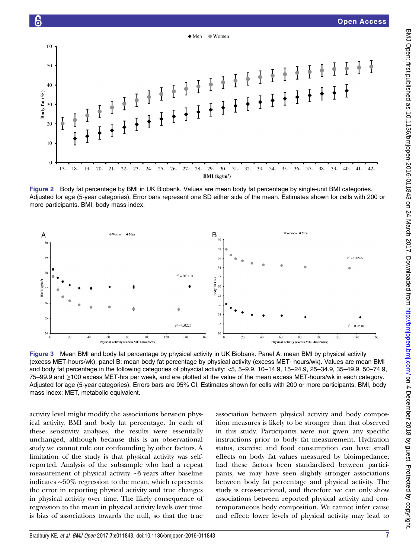<span id="page-6-0"></span>

Figure 2 Body fat percentage by BMI in UK Biobank. Values are mean body fat percentage by single-unit BMI categories. Adjusted for age (5-year categories). Error bars represent one SD either side of the mean. Estimates shown for cells with 200 or more participants. BMI, body mass index.



Figure 3 Mean BMI and body fat percentage by physical activity in UK Biobank. Panel A: mean BMI by physical activity (excess MET-hours/wk); panel B: mean body fat percentage by physical activity (excess MET- hours/wk). Values are mean BMI and body fat percentage in the following categories of physcial activity: <5, 5–9.9, 10–14.9, 15–24.9, 25–34.9, 35–49.9, 50–74.9, 75–99.9 and ≥100 excess MET-hrs per week, and are plotted at the value of the mean excess MET-hours/wk in each category. Adjusted for age (5-year categories). Errors bars are 95% CI. Estimates shown for cells with 200 or more participants. BMI, body mass index; MET, metabolic equivalent.

activity level might modify the associations between physical activity, BMI and body fat percentage. In each of these sensitivity analyses, the results were essentially unchanged, although because this is an observational study we cannot rule out confounding by other factors. A limitation of the study is that physical activity was selfreported. Analysis of the subsample who had a repeat measurement of physical activity ∼5 years after baseline indicates ∼50% regression to the mean, which represents the error in reporting physical activity and true changes in physical activity over time. The likely consequence of regression to the mean in physical activity levels over time is bias of associations towards the null, so that the true association between physical activity and body composition measures is likely to be stronger than that observed in this study. Participants were not given any specific instructions prior to body fat measurement. Hydration status, exercise and food consumption can have small effects on body fat values measured by bioimpedance; had these factors been standardised between participants, we may have seen slightly stronger associations between body fat percentage and physical activity. The study is cross-sectional, and therefore we can only show associations between reported physical activity and contemporaneous body composition. We cannot infer cause and effect: lower levels of physical activity may lead to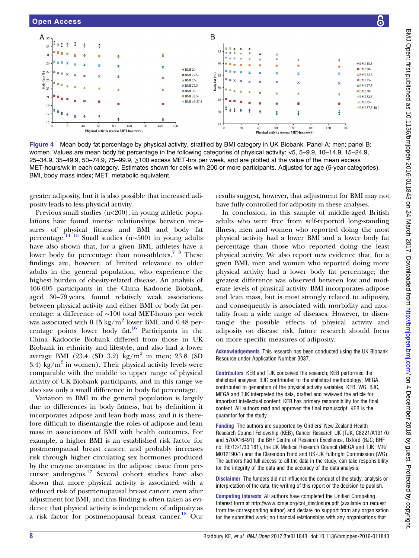$+1$ Ŧ

 $\overline{31}$ 

 $2^{9}$ 

 $(96)$ 

Body fat  $($ <br> $22$ 

 $\overline{21}$ 

 $19$ 

 $17$  $15$ 

 $\overline{20}$ 

ă

<span id="page-7-0"></span>

greater adiposity, but it is also possible that increased adiposity leads to less physical activity.

Previous small studies (n<200), in young athletic populations have found inverse relationships between measures of physical fitness and BMI and body fat percentage.[14 15](#page-8-0) Small studies (n∼500) in young adults have also shown that, for a given BMI, athletes have a lower body fat percentage than non-athletes.<sup>7</sup> <sup>8</sup> These findings are, however, of limited relevance to older adults in the general population, who experience the highest burden of obesity-related disease. An analysis of 466 605 participants in the China Kadoorie Biobank, aged 30–79 years, found relatively weak associations between physical activity and either BMI or body fat percentage: a difference of ∼100 total MET-hours per week was associated with  $0.15 \text{ kg/m}^2$  lower BMI, and 0.48 percentage points lower body  $fat^{16}$  $fat^{16}$  $fat^{16}$  Participants in the China Kadoorie Biobank differed from those in UK Biobank in ethnicity and lifestyle, and also had a lower average BMI (23.4 (SD 3.2) kg/m<sup>2</sup> in men; 23.8 (SD 3.4) kg/m<sup>2</sup> in women). Their physical activity levels were comparable with the middle to upper range of physical activity of UK Biobank participants, and in this range we also saw only a small difference in body fat percentage.

Variation in BMI in the general population is largely due to differences in body fatness, but by definition it incorporates adipose and lean body mass, and it is therefore difficult to disentangle the roles of adipose and lean mass in associations of BMI with health outcomes. For example, a higher BMI is an established risk factor for postmenopausal breast cancer, and probably increases risk through higher circulating sex hormones produced by the enzyme aromatase in the adipose tissue from precursor androgens.[17](#page-8-0) Several cohort studies have also shown that more physical activity is associated with a reduced risk of postmenopausal breast cancer, even after adjustment for BMI, and this finding is often taken as evidence that physical activity is independent of adiposity as a risk factor for postmenopausal breast cancer.<sup>[18](#page-8-0)</sup> Our

results suggest, however, that adjustment for BMI may not have fully controlled for adiposity in these analyses.

In conclusion, in this sample of middle-aged British adults who were free from self-reported long-standing illness, men and women who reported doing the most physical activity had a lower BMI and a lower body fat percentage than those who reported doing the least physical activity. We also report new evidence that, for a given BMI, men and women who reported doing more physical activity had a lower body fat percentage; the greatest difference was observed between low and moderate levels of physical activity. BMI incorporates adipose and lean mass, but is most strongly related to adiposity, and consequently is associated with morbidity and mortality from a wide range of diseases. However, to disentangle the possible effects of physical activity and adiposity on disease risk, future research should focus on more specific measures of adiposity.

Acknowledgements This research has been conducted using the UK Biobank Resource under Application Number 3037.

Contributors KEB and TJK conceived the research; KEB performed the statistical analyses; BJC contributed to the statistical methodology; MEGA contributed to generation of the physical activity variables. KEB, WG, BJC, MEGA and TJK interpreted the data, drafted and reviewed the article for important intellectual content; KEB has primary responsibility for the final content. All authors read and approved the final manuscript. KEB is the guarantor for the study

Funding The authors are supported by Girdlers' New Zealand Health Research Council Fellowship (KEB), Cancer Research UK (TJK; C8221/A19170 and 570/A16491), the BHF Centre of Research Excellence, Oxford (BJC; BHF no. RE/13/1/30 181), the UK Medical Research Council (MEGA and TJK; MR/ M012190/1) and the Clarendon Fund and US-UK Fulbright Commission (WG). The authors had full access to all the data in the study, can take responsibility for the integrity of the data and the accuracy of the data analysis.

Disclaimer The funders did not influence the conduct of the study, analysis or interpretation of the data, the writing of this report or the decision to publish.

Competing interests All authors have completed the Unified Competing Interest form at [http://www.icmje.org/coi\\_disclosure.pdf](http://www.icmje.org/coi_disclosure.pdf) (available on request from the corresponding author) and declare no support from any organisation for the submitted work; no financial relationships with any organisations that